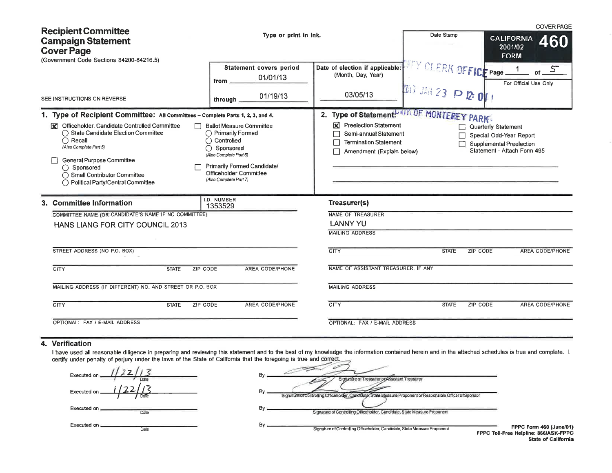|                                                                                                                                                                                                                                                                                                                                                                          |                                                                                                                                                                                               |                                                                                                                                                                        |                                                             | <b>COVER PAGE</b>                                                                                                |
|--------------------------------------------------------------------------------------------------------------------------------------------------------------------------------------------------------------------------------------------------------------------------------------------------------------------------------------------------------------------------|-----------------------------------------------------------------------------------------------------------------------------------------------------------------------------------------------|------------------------------------------------------------------------------------------------------------------------------------------------------------------------|-------------------------------------------------------------|------------------------------------------------------------------------------------------------------------------|
| <b>Recipient Committee</b><br><b>Campaign Statement</b><br><b>Cover Page</b><br>(Government Code Sections 84200-84216.5)                                                                                                                                                                                                                                                 | Type or print in ink.                                                                                                                                                                         |                                                                                                                                                                        | Date Stamp                                                  | <b>CALIFORNIA</b><br>460<br>2001/02<br><b>FORM</b>                                                               |
| SEE INSTRUCTIONS ON REVERSE                                                                                                                                                                                                                                                                                                                                              | <b>Statement covers period</b><br>01/01/13<br>from $=$<br>01/19/13<br>through                                                                                                                 | Date of election if applicable:<br>(Month, Day, Year)<br>03/05/13                                                                                                      | <b>WEY CLERK OFFICE Page</b><br><b>III</b> JAN 23 P 2 0  /  | $\mathcal{S}$<br>For Official Use Only                                                                           |
| 1. Type of Recipient Committee: All Committees - Complete Parts 1, 2, 3, and 4.<br>K Officeholder, Candidate Controlled Committee<br>◯ State Candidate Election Committee<br>$\bigcirc$ Recall<br>$\left( \right)$<br>(Also Complete Part 5)<br>General Purpose Committee<br>$\bigcap$ Sponsored<br>◯ Small Contributor Committee<br>◯ Political Party/Central Committee | <b>Ballot Measure Committee</b><br>◯ Primarily Formed<br>Controlled<br>Sponsored<br>(Also Complete Part 6)<br>Primarily Formed Candidate/<br>Officeholder Committee<br>(Also Complete Part 7) | 2. Type of Statement. OF MONTEREY PARK<br><b>X</b> Preelection Statement<br>Semi-annual Statement<br><b>Termination Statement</b><br>Г<br>Amendment (Explain below)    |                                                             | <b>Quarterly Statement</b><br>Special Odd-Year Report<br>Supplemental Preelection<br>Statement - Attach Form 495 |
| 3. Committee Information<br>COMMITTEE NAME (OR CANDIDATE'S NAME IF NO COMMITTEE)<br>HANS LIANG FOR CITY COUNCIL 2013<br>STREET ADDRESS (NO P.O. BOX)<br>CITY<br><b>STATE</b><br>ZIP CODE<br>MAILING ADDRESS (IF DIFFERENT) NO. AND STREET OR P.O. BOX<br><b>CITY</b><br>ZIP CODE<br><b>STATE</b>                                                                         | I.D. NUMBER<br>1353529<br>AREA CODE/PHONE<br>AREA CODE/PHONE                                                                                                                                  | Treasurer(s)<br>NAME OF TREASURER<br><b>LANNY YU</b><br><b>MAILING ADDRESS</b><br><b>CITY</b><br>NAME OF ASSISTANT TREASURER. IF ANY<br><b>MAILING ADDRESS</b><br>CITY | <b>STATE</b><br><b>ZIP CODE</b><br><b>STATE</b><br>ZIP CODE | <b>AREA CODE/PHONE</b><br><b>AREA CODE/PHONE</b>                                                                 |
| OPTIONAL: FAX / E-MAIL ADDRESS                                                                                                                                                                                                                                                                                                                                           |                                                                                                                                                                                               | OPTIONAL: FAX / E-MAIL ADDRESS                                                                                                                                         |                                                             |                                                                                                                  |

### 4. Verification

I have used all reasonable diligence in preparing and reviewing this statement and to the best of my knowledge the information contained herein and in the attached schedules is true and complete. I certify under penalty of perjury under the laws of the State of California that the foregoing is true and correct.

| Executed on                             |  |
|-----------------------------------------|--|
| <u>i 1221 </u><br>Executed on .<br>Date |  |
| Executed on<br>Date                     |  |
| Executed on<br>Date                     |  |

| Signature of Treasurer or Assistant Treasurer                             |                                                                                                             |
|---------------------------------------------------------------------------|-------------------------------------------------------------------------------------------------------------|
|                                                                           | Signature of Controlling Officeholder, Candidate, State Measure Proponent or Responsible Officer of Sponsor |
| Signature of Controlling Officeholder, Candidate, State Measure Proponent |                                                                                                             |

Signature of Controlling Officeholder, Candidate, State Measure Proponent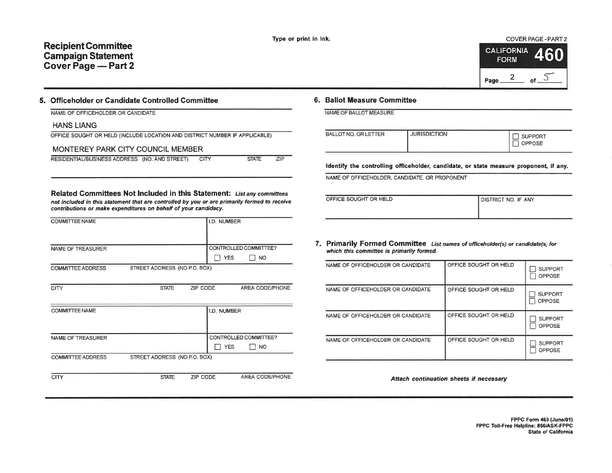# **Recipient Committee Campaign Statement** Cover Page - Part 2



### 5. Officeholder or Candidate Controlled Committee

|  |  | NAME OF OFFICEHOLDER OR CANDIDATE |  |  |
|--|--|-----------------------------------|--|--|
|--|--|-----------------------------------|--|--|

#### **HANS LIANG**

CITY

| OFFICE SOUGHT OR HELD (INCLUDE LOCATION AND DISTRICT NUMBER IF APPLICABLE) |  |
|----------------------------------------------------------------------------|--|
|----------------------------------------------------------------------------|--|

#### MONTEREY PARK CITY COUNCIL MEMBER

RESIDENTIAL/BUSINESS ADDRESS (NO. AND STREET) **CITY** 

| STATE<br>. . |
|--------------|
|              |

 $ZIP$ 

AREA CODE/PHONE

#### Related Committees Not Included in this Statement: List any committees not included in this statement that are controlled by you or are primarily formed to receive contributions or make expenditures on behalf of your candidacy.

| <b>COMMITTEE NAME</b>    |                              |          | I.D. NUMBER |                       |
|--------------------------|------------------------------|----------|-------------|-----------------------|
|                          |                              |          |             |                       |
| NAME OF TREASURER        |                              |          |             | CONTROLLED COMMITTEE? |
|                          |                              |          | <b>YES</b>  | <b>NO</b>             |
| <b>COMMITTEE ADDRESS</b> | STREET ADDRESS (NO P.O. BOX) |          |             |                       |
|                          |                              |          |             |                       |
| CITY                     | <b>STATE</b>                 | ZIP CODE |             | AREA CODE/PHONE       |
|                          |                              |          |             |                       |
| <b>COMMITTEE NAME</b>    |                              |          | I.D. NUMBER |                       |
|                          |                              |          |             |                       |
|                          |                              |          |             |                       |
| NAME OF TREASURER        |                              |          |             | CONTROLLED COMMITTEE? |
|                          |                              |          | <b>YES</b>  | <b>NO</b>             |
| <b>COMMITTEE ADDRESS</b> | STREET ADDRESS (NO P.O. BOX) |          |             |                       |
|                          |                              |          |             |                       |

**STATE** ZIP CODE

# 6. Ballot Measure Committee

| NAME OF BALLOT MEASURE |
|------------------------|
|------------------------|

| <b>BALLOT NO. OR LETTER</b> | <b>JURISDICTION</b> | <b>SUPPORT</b><br>OPPOSE |
|-----------------------------|---------------------|--------------------------|
|                             |                     |                          |

Identify the controlling officeholder, candidate, or state measure proponent, if any.

NAME OF OFFICEHOLDER, CANDIDATE, OR PROPONENT

| DFFICE SOUGHT OR HELD |  |  |
|-----------------------|--|--|

**DISTRICT NO. IF ANY** 

7. Primarily Formed Committee List names of officeholder(s) or candidate(s) for which this committee is primarily formed.

| NAME OF OFFICEHOLDER OR CANDIDATE | OFFICE SOUGHT OR HELD | <b>SUPPORT</b><br>OPPOSE        |
|-----------------------------------|-----------------------|---------------------------------|
| NAME OF OFFICEHOLDER OR CANDIDATE | OFFICE SOUGHT OR HELD | <b>SUPPORT</b><br>OPPOSE        |
| NAME OF OFFICEHOLDER OR CANDIDATE | OFFICE SOUGHT OR HELD | <b>SUPPORT</b><br><b>OPPOSE</b> |
| NAME OF OFFICEHOLDER OR CANDIDATE | OFFICE SOUGHT OR HELD | <b>SUPPORT</b><br>OPPOSE        |

Attach continuation sheets if necessary

FPPC Form 460 (June/01) FPPC Toll-Free Helpline: 866/ASK-FPPC **State of California**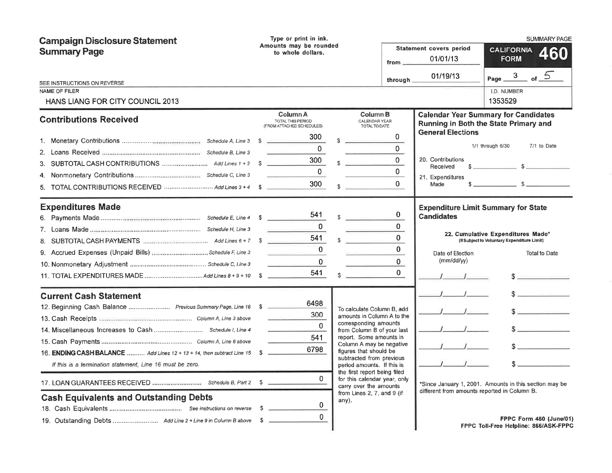| <b>Campaign Disclosure Statement</b><br><b>Summary Page</b>                                                                                                                                                                                                                               | Type or print in ink.<br>Amounts may be rounded<br>to whole dollars.                                             |                                                                                                                                                                                                                                                                                                                                                                                             | $from \_\_$                                                                    | <b>Statement covers period</b><br>01/01/13                                            | <b>SUMMARY PAGE</b><br><b>CALIFORNIA</b><br>460<br><b>FORM</b>                                                                                                                                                                                                                                                                                                                                                                                 |
|-------------------------------------------------------------------------------------------------------------------------------------------------------------------------------------------------------------------------------------------------------------------------------------------|------------------------------------------------------------------------------------------------------------------|---------------------------------------------------------------------------------------------------------------------------------------------------------------------------------------------------------------------------------------------------------------------------------------------------------------------------------------------------------------------------------------------|--------------------------------------------------------------------------------|---------------------------------------------------------------------------------------|------------------------------------------------------------------------------------------------------------------------------------------------------------------------------------------------------------------------------------------------------------------------------------------------------------------------------------------------------------------------------------------------------------------------------------------------|
| SEE INSTRUCTIONS ON REVERSE<br>NAME OF FILER<br><b>HANS LIANG FOR CITY COUNCIL 2013</b>                                                                                                                                                                                                   |                                                                                                                  |                                                                                                                                                                                                                                                                                                                                                                                             | through $\overline{\phantom{a}}$                                               | 01/19/13                                                                              | Page $3$ of $5$<br>I.D. NUMBER<br>1353529                                                                                                                                                                                                                                                                                                                                                                                                      |
| <b>Contributions Received</b>                                                                                                                                                                                                                                                             | Column A<br>TOTAL THIS PERIOD<br>(FROM ATTACHED SCHEDULES)<br>300<br>0<br>300 <sub>1</sub><br>$\mathbf 0$<br>300 | Column B<br>CALENDAR YEAR<br>TOTAL TO DATE<br>\$.<br>\$.                                                                                                                                                                                                                                                                                                                                    | $\overline{0}$<br>$\overline{0}$<br>0<br>$\Omega$<br>$\Omega$                  | <b>General Elections</b><br>20. Contributions<br>Received<br>21. Expenditures<br>Made | <b>Calendar Year Summary for Candidates</b><br>Running in Both the State Primary and<br>1/1 through 6/30<br>7/1 to Date<br>$\frac{1}{2}$ $\frac{1}{2}$ $\frac{1}{2}$ $\frac{1}{2}$ $\frac{1}{2}$ $\frac{1}{2}$ $\frac{1}{2}$ $\frac{1}{2}$ $\frac{1}{2}$ $\frac{1}{2}$ $\frac{1}{2}$ $\frac{1}{2}$ $\frac{1}{2}$ $\frac{1}{2}$ $\frac{1}{2}$ $\frac{1}{2}$ $\frac{1}{2}$ $\frac{1}{2}$ $\frac{1}{2}$ $\frac{1}{2}$ $\frac{1}{2}$ $\frac{1}{2}$ |
| <b>Expenditures Made</b><br>9. Accrued Expenses (Unpaid Bills) Schedule F. Line 3<br>10. Nonmonetary Adjustment manuscrimon manuscrime Schedule C, Line 3                                                                                                                                 | 541<br>$\Omega$<br>541<br>$\Omega$<br><b>Contract Contract Contract</b><br>$\mathbf 0$<br>541                    | $\mathbb{S}$<br><b>Contract Contract</b>                                                                                                                                                                                                                                                                                                                                                    | $\bf{0}$<br>$\overline{0}$<br>$\Omega$<br>$\bf{0}$<br>$\mathbf{0}$<br>$\Omega$ | <b>Candidates</b><br>Date of Election<br>$(mm/dd/\gamma)$                             | <b>Expenditure Limit Summary for State</b><br>22. Cumulative Expenditures Made*<br>(If Subject to Voluntary Expenditure Limit)<br><b>Total to Date</b><br>$s$ and the set of $s$                                                                                                                                                                                                                                                               |
| <b>Current Cash Statement</b><br>12. Beginning Cash Balance  Previous Summary Page, Line 16 \$<br>16. ENDING CASH BALANCE  Add Lines 12 + 13 + 14, then subtract Line 15 \$<br>If this is a termination statement, Line 16 must be zero.<br><b>Cash Equivalents and Outstanding Debts</b> | 6498<br>300<br>$\Omega$<br>541<br>6798<br><sup>n</sup><br>$\mathbf{0}$<br>$\Omega$                               | To calculate Column B, add<br>amounts in Column A to the<br>corresponding amounts<br>from Column B of your last<br>report. Some amounts in<br>Column A may be negative<br>figures that should be<br>subtracted from previous<br>period amounts. If this is<br>the first report being filed<br>for this calendar year, only<br>carry over the amounts<br>from Lines 2, 7, and 9 (if<br>any). |                                                                                | different from amounts reported in Column B.                                          | s<br>$S_{\perp}$ and $S_{\perp}$<br>s<br>$\sim$<br>*Since January 1, 2001. Amounts in this section may be<br>FPPC Form 460 (June/01)<br>FPPC Toll-Free Helpline: 866/ASK-FPPC                                                                                                                                                                                                                                                                  |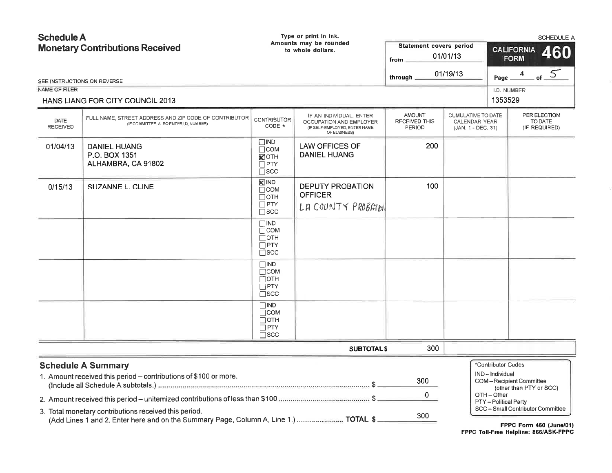| <b>Schedule A</b><br><b>Monetary Contributions Received</b> |                                                                                                                                                        | Type or print in ink.<br>Amounts may be rounded<br>to whole dollars.  |                                                                                                     | Statement covers period<br>01/01/13<br>from $\equiv$ | <b>SCHEDULE A</b><br><b>CALIFORNIA</b><br>460<br><b>FORM</b>     |                                                                          |                                                                                         |        |
|-------------------------------------------------------------|--------------------------------------------------------------------------------------------------------------------------------------------------------|-----------------------------------------------------------------------|-----------------------------------------------------------------------------------------------------|------------------------------------------------------|------------------------------------------------------------------|--------------------------------------------------------------------------|-----------------------------------------------------------------------------------------|--------|
|                                                             | SEE INSTRUCTIONS ON REVERSE                                                                                                                            |                                                                       |                                                                                                     | through <sub>1</sub>                                 | 01/19/13                                                         | Page                                                                     | 4                                                                                       | of $5$ |
| NAME OF FILER                                               |                                                                                                                                                        |                                                                       |                                                                                                     |                                                      |                                                                  | I.D. NUMBER                                                              |                                                                                         |        |
|                                                             | HANS LIANG FOR CITY COUNCIL 2013                                                                                                                       |                                                                       |                                                                                                     |                                                      |                                                                  | 1353529                                                                  |                                                                                         |        |
| DATE<br><b>RECEIVED</b>                                     | FULL NAME, STREET ADDRESS AND ZIP CODE OF CONTRIBUTOR<br>(IF COMMITTEE, ALSO ENTER I.D. NUMBER)                                                        | <b>CONTRIBUTOR</b><br>CODE *                                          | IF AN INDIVIDUAL, ENTER<br>OCCUPATION AND EMPLOYER<br>(IF SELF-EMPLOYED, ENTER NAME<br>OF BUSINESS) | <b>AMOUNT</b><br>RECEIVED THIS<br>PERIOD             | CUMULATIVE TO DATE<br><b>CALENDAR YEAR</b><br>(JAN. 1 - DEC. 31) |                                                                          | PER ELECTION<br>TO DATE<br>(IF REQUIRED)                                                |        |
| 01/04/13                                                    | <b>DANIEL HUANG</b><br>P.O. BOX 1351<br>ALHAMBRA, CA 91802                                                                                             | $\square$ IND<br>∏сом<br>$K$ OTH<br>$\Box$ PTY<br>$\Box$ scc          | <b>LAW OFFICES OF</b><br><b>DANIEL HUANG</b>                                                        | 200                                                  |                                                                  |                                                                          |                                                                                         |        |
| 0/15/13                                                     | <b>SUZANNE L. CLINE</b>                                                                                                                                | KIND<br>$\Box$ COM<br>⊓отн<br>$\square$ PTY<br>$\square$ scc          | <b>DEPUTY PROBATION</b><br><b>OFFICER</b><br>LA COUNTY PROBATON                                     | 100                                                  |                                                                  |                                                                          |                                                                                         |        |
|                                                             |                                                                                                                                                        | $\square$ IND<br>$\Box$ COM<br>$\Box$ OTH<br>$\Box$ PTY<br>$\Box$ scc |                                                                                                     |                                                      |                                                                  |                                                                          |                                                                                         |        |
|                                                             |                                                                                                                                                        | $\square$ IND<br>$\Box$ COM<br>$\Box$ OTH<br>$\Box$ PTY<br>$\Box$ scc |                                                                                                     |                                                      |                                                                  |                                                                          |                                                                                         |        |
|                                                             |                                                                                                                                                        | $\square$ IND<br>$\Box$ COM<br>$\Box$ OTH<br>$\Box$ PTY<br>$\Box$ scc |                                                                                                     |                                                      |                                                                  |                                                                          |                                                                                         |        |
|                                                             |                                                                                                                                                        |                                                                       | <b>SUBTOTAL\$</b>                                                                                   | 300                                                  |                                                                  |                                                                          |                                                                                         |        |
|                                                             | <b>Schedule A Summary</b><br>1. Amount received this period - contributions of \$100 or more.<br>3. Total monetary contributions received this period. |                                                                       |                                                                                                     | 300<br>$\mathbf{0}$<br>300                           |                                                                  | *Contributor Codes<br>IND-Individual<br>OTH-Other<br>PTY-Political Party | COM-Recipient Committee<br>(other than PTY or SCC)<br>SCC - Small Contributor Committee |        |
|                                                             | (Add Lines 1 and 2. Enter here and on the Summary Page, Column A, Line 1.)  TOTAL \$                                                                   |                                                                       |                                                                                                     |                                                      |                                                                  |                                                                          | FPPC Form 460 (June/01)                                                                 |        |

FPPC Toll-Free Helpline: 866/ASK-FPPC